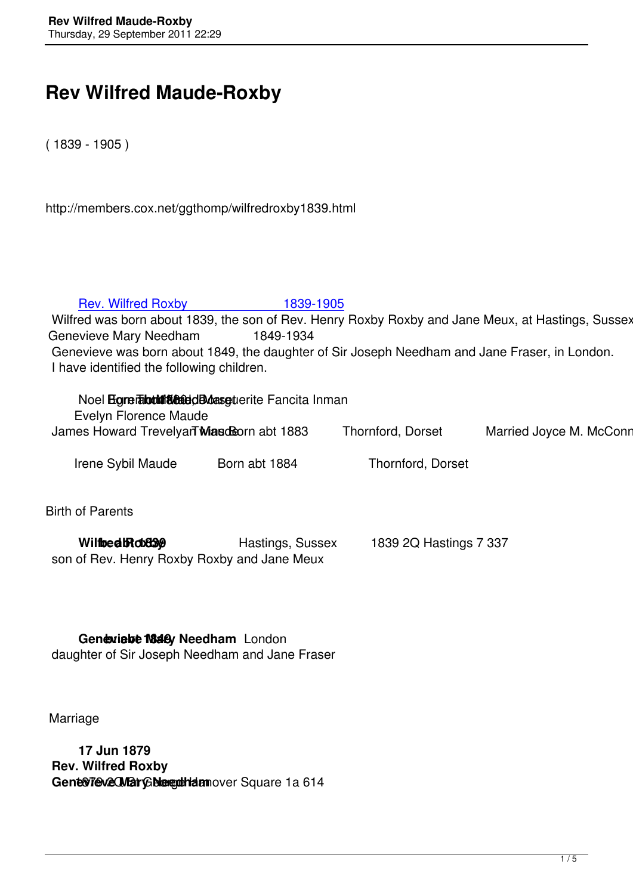## **Rev Wilfred Maude-Roxby**

( 1839 - 1905 )

http://members.cox.net/ggthomp/wilfredroxby1839.html

## Rev. Wilfred Roxby **1839-1905**

Wilfred was born about 1839, the son of Rev. Henry Roxby Roxby and Jane Meux, at Hastings, Sussex. H Genevieve Mary Needham 1849-1934 Gen[evieve was born about 1849, the daughter of Sir](henryroxbymaude1799.html) Joseph Needham and Jane Fraser, in London. I have identified the following children.

| Noel <b>Egrerabulities</b> de des guerite Fancita Inman |                   |                            |
|---------------------------------------------------------|-------------------|----------------------------|
| Evelyn Florence Maude                                   |                   |                            |
| James Howard Trevelyar Masdisorn abt 1883               | Thornford, Dorset | Married Joyce M. McConnell |

Irene Sybil Maude Born abt 1884 Thornford, Dorset

Birth of Parents

| Wilthed <b>Rotage</b>                       | Hastings, Sussex | 1839 2Q Hastings 7 337 |
|---------------------------------------------|------------------|------------------------|
| son of Rev. Henry Roxby Roxby and Jane Meux |                  |                        |

**Geneviebe M848** Needham London daughter of Sir Joseph Needham and Jane Fraser

Marriage

 **17 Jun 1879 Rev. Wilfred Roxby** Genevieve Mary Bleedham over Square 1a 614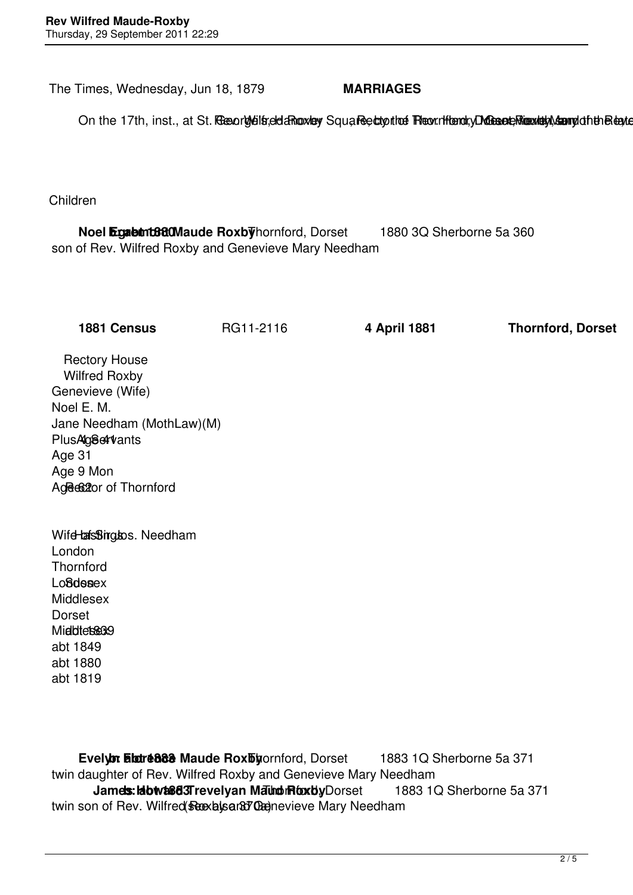The Times, Wednesday, Jun 18, 1879 **MARRIAGES**

On the 17th, inst., at St. Resorg/eilstelda Rooxley Square ectoptics Record for the national Assemption the legislation

Children

**Noel Egabtnt BadMaude Roxby** hornford, Dorset 1880 3Q Sherborne 5a 360 son of Rev. Wilfred Roxby and Genevieve Mary Needham

**1881 Census** RG11-2116 **4 April 1881 Thornford, Dorset**

 Rectory House Wilfred Roxby Genevieve (Wife) Noel E. M. Jane Needham (MothLaw)(M) Plus Ag<sub>8</sub>et vants Age 31 Age 9 Mon Age 62 are of Thornford

Wife bastings bs. Needham London **Thornford** Lo**ßdesex**  Middlesex Dorset Middlessex9 abt 1849 abt 1880 abt 1819

**Evelyor Elatre 888 Maude Rox by ornford, Dorset 1883 1Q Sherborne 5a 371**  twin daughter of Rev. Wilfred Roxby and Genevieve Mary Needham **James: Howa&d3Trevelyan Maund Roxby Dorset 1883 1Q Sherborne 5a 371** twin son of Rev. Wilfred Roxby and Genevieve Mary Needham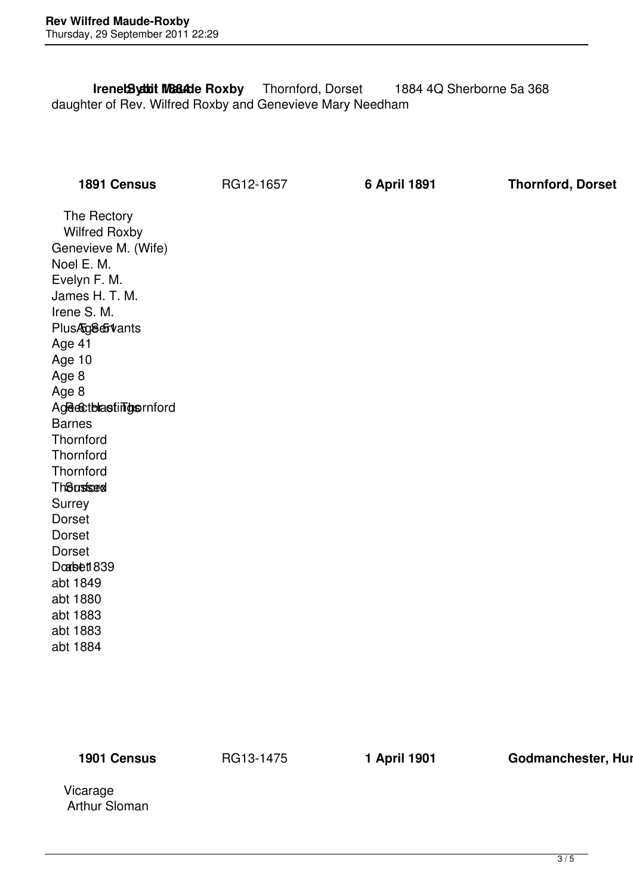**Irenet Syabit MBBAde Roxby** Thornford, Dorset 1884 4Q Sherborne 5a 368 daughter of Rev. Wilfred Roxby and Genevieve Mary Needham

**1891 Census** RG12-1657 **6 April 1891 Thornford, Dorset**

 The Rectory Wilfred Roxby Genevieve M. (Wife) Noel E. M. Evelyn F. M. James H. T. M. Irene S. M. Plus 508 & Vants Age 41 Age 10 Age 8 Age 8 Age est blastings enford Barnes **Thornford Thornford Thornford Th**Susfsex Surrey Dorset Dorset Dorset Doabett 839 abt 1849 abt 1880 abt 1883 abt 1883 abt 1884

**1901 Census RG13-1475 1 April 1901 Godmanchester, Hunting Commanchester**, Hunting

 Vicarage Arthur Sloman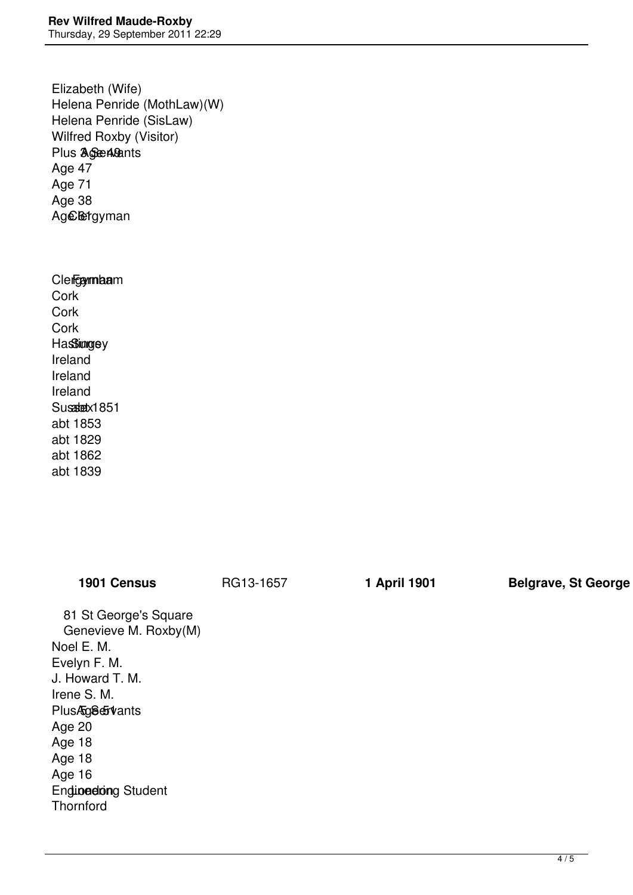Elizabeth (Wife) Helena Penride (MothLaw)(W) Helena Penride (SisLaw) Wilfred Roxby (Visitor) Plus **3 See 49ants**  Age 47 Age 71 Age 38 Age letgyman

## Clergyman

 Cork **Cork Cork Hassimgey**  Ireland Ireland Ireland Susadetx1851 abt 1853 abt 1829 abt 1862 abt 1839

| <b>1901 Census</b>         | RG13-1657 | 1 April 1901 | <b>Belgrave, St George</b> |
|----------------------------|-----------|--------------|----------------------------|
| 81 St George's Square      |           |              |                            |
| Genevieve M. Roxby(M)      |           |              |                            |
| Noel E. M.                 |           |              |                            |
| Evelyn F. M.               |           |              |                            |
| J. Howard T. M.            |           |              |                            |
| Irene S. M.                |           |              |                            |
| PlusAg8eFvants             |           |              |                            |
| Age 20                     |           |              |                            |
| Age 18                     |           |              |                            |
| Age 18                     |           |              |                            |
| Age 16                     |           |              |                            |
| <b>Endinedring Student</b> |           |              |                            |
| Thornford                  |           |              |                            |